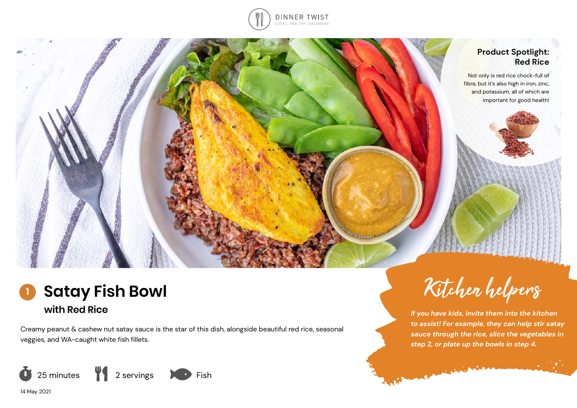

### **Product Spotlight: Red Rice**

Not only is red rice chock-full of fibre, but it's also high in iron, zinc, and potassium, all of which are important for good health!



Creamy peanut & cashew nut satay sauce is the star of this dish, alongside beautiful red rice, seasonal veggies, and WA-caught white fish fillets.



14 May 2021



*If you have kids, invite them into the kitchen to assist! For example, they can help stir satay sauce through the rice, slice the vegetables in step 2, or plate up the bowls in step 4.* 

Commission of the Commission